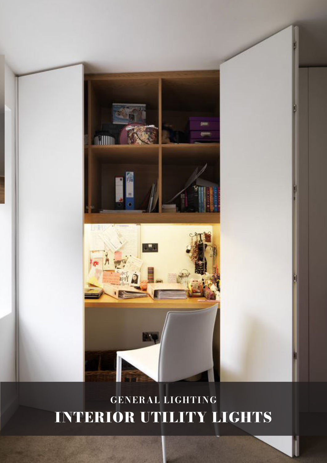# **Million** appy N

# GENERAL LIGHTING INTERIOR UTILITY LIGHTS

CLA LIGHTING337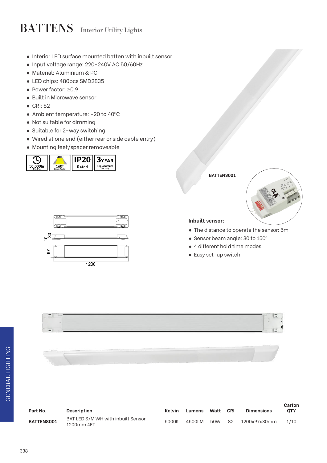# BATTENS Interior Utility Lights

- Interior LED surface mounted batten with inbuilt sensor
- Input voltage range: 220-240V AC 50/60Hz
- Material: Aluminium & PC
- LED chips: 480pcs SMD2835
- Power factor: ≥0.9
- Built in Microwave sensor
- CRI: 82
- Ambient temperature: -20 to 40°C
- Not suitable for dimming
- Suitable for 2-way switching
- Wired at one end (either rear or side cable entry)
- Mounting feet/spacer removeable





### **BATTENS001**



### **Inbuilt sensor:**

- The distance to operate the sensor: 5m
- $\bullet$  Sensor beam angle: 30 to 150 $^{\circ}$
- 4 different hold time modes
- Easy set-up switch



| Part No.          | <b>Description</b>                               | Kelvin | Lumens | Watt | <b>CRI</b> | <b>Dimensions</b> | Carton<br><b>QTY</b> |
|-------------------|--------------------------------------------------|--------|--------|------|------------|-------------------|----------------------|
| <b>BATTENS001</b> | BAT LED S/M WH with inbuilt Sensor<br>1200mm 4FT | 5000K  | 4500LM | 50W  | 82         | 1200x97x30mm      | 1/10                 |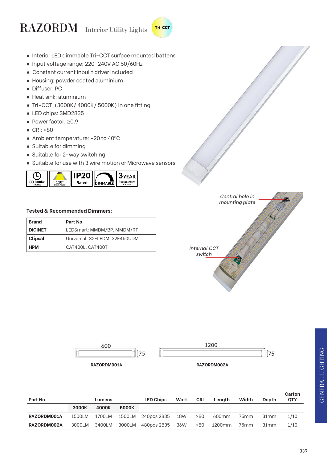### RAZORDM Interior Utility Lights **Tri-CCT**

- Interior LED dimmable Tri-CCT surface mounted battens
- Input voltage range: 220-240V AC 50/60Hz
- Constant current inbuilt driver included
- Housing: powder coated aluminium
- Diffuser: PC
- Heat sink: aluminium
- Tri-CCT (3000K/ 4000K/ 5000K) in one fitting
- LED chips: SMD2835
- Power factor: ≥0.9
- CRI: >80
- Ambient temperature: -20 to 40°C
- Suitable for dimming
- Suitable for 2-way switching
- Suitable for use with 3 wire motion or Microwave sensors



### **Tested & Recommended Dimmers:**

| <b>Brand</b>   | Part No.                      |
|----------------|-------------------------------|
| <b>DIGINET</b> | LEDSmart: MMDM/BP, MMDM/RT    |
| Clipsal        | Universal: 32ELEDM, 32E450UDM |
| <b>HPM</b>     | CAT400L, CAT400T              |





**Part No. Lumens LED Chips Watt CRI Length Width Depth Carton QTY 3000K 4000K 5000K RAZORDM001A** 1500LM 1700LM 1500LM 240pcs 2835 18W >80 600mm 75mm 31mm 1/10 **RAZORDM002A** 3000LM 3400LM 3000LM 480pcs 2835 36W >80 1200mm 75mm 31mm 1/10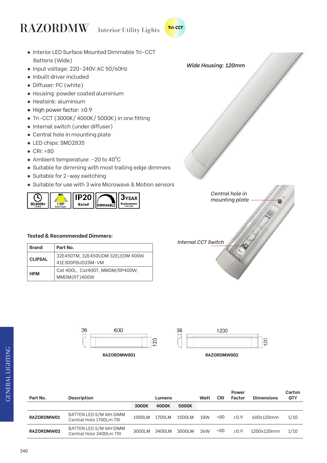# RAZORDMW Interior Utility Lights









| Part No.   | <b>Description</b>                                | Lumens |        |        | Watt       | <b>CRI</b> | Power<br>Factor | <b>Dimensions</b> | Carton<br>QTY |
|------------|---------------------------------------------------|--------|--------|--------|------------|------------|-----------------|-------------------|---------------|
|            |                                                   | 3000K  | 4000K  | 5000K  |            |            |                 |                   |               |
| RAZORDMW01 | BATTEN LED S/M WH DIMM<br>Central Hole 1700Lm TRI | 1500LM | 1700LM | 1500LM | <b>18W</b> | >80        | > 0.9           | 600x120mm         | 1/10          |
| RAZORDMW02 | BATTEN LED S/M WH DIMM<br>Central Hole 3400Lm TRI | 3000LM | 3400LM | 3000LM | 36W        | >80        | $\geq 0.9$      | 1200x120mm        | 1/10          |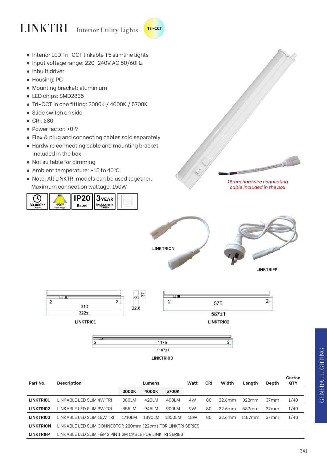# LINKTRI Interior Utility Lights



- Input voltage range: 220-240V AC 50/60Hz
- Inbuilt driver
- Housing: PC
- Mounting bracket: aluminium
- LED chips: SMD2835
- Tri-CCT in one fitting: 3000K / 4000K / 5700K
- Slide switch on side
- CRI: ≥80
- Power factor: >0.9
- Flex & plug and connecting cables sold separately
- Hardwire connecting cable and mounting bracket included in the box
- Not suitable for dimming
- Ambient temperature: -15 to 40°C
- Note: All LINKTRI models can be used together. Maximum connection wattage: 150W



**LINKTRICN**

**LINKTRIFP**

*15mm hardwire connecting cable included in the box*

 $\frac{1}{\sqrt{2}}$ 







Tri-CCT

**LINKTRI03**

| Part No.              | <b>Description</b>                                          |         | Lumens  |        | Watt | CRI | Width     | Length             | Depth            | Carton<br><b>QTY</b> |
|-----------------------|-------------------------------------------------------------|---------|---------|--------|------|-----|-----------|--------------------|------------------|----------------------|
|                       |                                                             | 3000K   | 4000K   | 5700K  |      |     |           |                    |                  |                      |
| LINKTRI01             | LINKABLE LED SLIM 4W TRI                                    | 380LM   | 420LM   | 400LM  | 4W   | 80  | 22.6mm    | 322mm              | 37 <sub>mm</sub> | 1/40                 |
| LINKTRIO <sub>2</sub> | LINK ABLE LED SLIM 9W TRI                                   | 855LM   | 945LM   | 900LM  | 9W   | 80  | 22.6mm    | 587 <sub>mm</sub>  | 37 <sub>mm</sub> | 1/40                 |
| LINKTRI03             | LINKABLE LED SLIM 18W TRI                                   | 1710I M | 1890I M | 1800LM | 18W  | 80  | $22.6$ mm | 1187 <sub>mm</sub> | 37 <sub>mm</sub> | 1/40                 |
| <b>LINKTRICN</b>      | LINKABLE LED SLIM CONNECTOR 220mm (22cm) FOR LINKTRI SERIES |         |         |        |      |     |           |                    |                  |                      |
| <b>LINKTRIFP</b>      | LINKABLE LED SLIM F&P 2 PIN 1.2M CABLE FOR LINKTRI SERIES.  |         |         |        |      |     |           |                    |                  |                      |